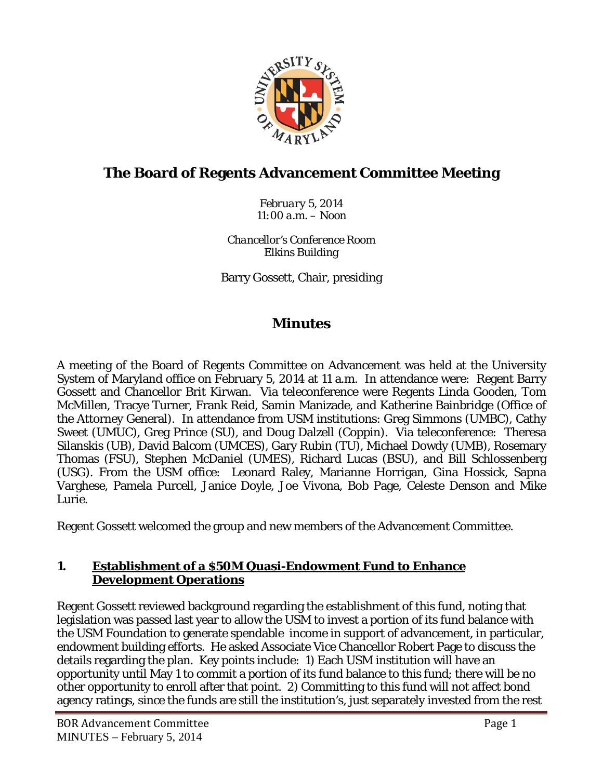

# **The Board of Regents Advancement Committee Meeting**

*February 5, 2014 11:00 a.m. – Noon*

*Chancellor's Conference Room Elkins Building*

Barry Gossett, Chair, presiding

# **Minutes**

A meeting of the Board of Regents Committee on Advancement was held at the University System of Maryland office on February 5, 2014 at 11 a.m. In attendance were: Regent Barry Gossett and Chancellor Brit Kirwan. Via teleconference were Regents Linda Gooden, Tom McMillen, Tracye Turner, Frank Reid, Samin Manizade, and Katherine Bainbridge (Office of the Attorney General). In attendance from USM institutions: Greg Simmons (UMBC), Cathy Sweet (UMUC), Greg Prince (SU), and Doug Dalzell (Coppin). Via teleconference: Theresa Silanskis (UB), David Balcom (UMCES), Gary Rubin (TU), Michael Dowdy (UMB), Rosemary Thomas (FSU), Stephen McDaniel (UMES), Richard Lucas (BSU), and Bill Schlossenberg (USG). From the USM office: Leonard Raley, Marianne Horrigan, Gina Hossick, Sapna Varghese, Pamela Purcell, Janice Doyle, Joe Vivona, Bob Page, Celeste Denson and Mike Lurie.

Regent Gossett welcomed the group and new members of the Advancement Committee.

#### **1. Establishment of a \$50M Quasi-Endowment Fund to Enhance Development Operations**

Regent Gossett reviewed background regarding the establishment of this fund, noting that legislation was passed last year to allow the USM to invest a portion of its fund balance with the USM Foundation to generate spendable income in support of advancement, in particular, endowment building efforts. He asked Associate Vice Chancellor Robert Page to discuss the details regarding the plan. Key points include: 1) Each USM institution will have an opportunity until May 1 to commit a portion of its fund balance to this fund; there will be no other opportunity to enroll after that point. 2) Committing to this fund will not affect bond agency ratings, since the funds are still the institution's, just separately invested from the rest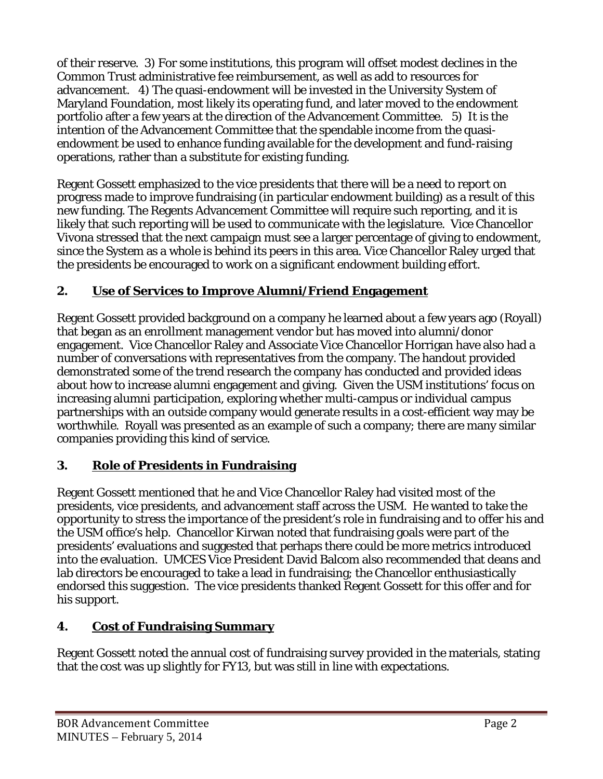of their reserve. 3) For some institutions, this program will offset modest declines in the Common Trust administrative fee reimbursement, as well as add to resources for advancement. 4) The quasi-endowment will be invested in the University System of Maryland Foundation, most likely its operating fund, and later moved to the endowment portfolio after a few years at the direction of the Advancement Committee. 5) It is the intention of the Advancement Committee that the spendable income from the quasiendowment be used to enhance funding available for the development and fund-raising operations, rather than a substitute for existing funding.

Regent Gossett emphasized to the vice presidents that there will be a need to report on progress made to improve fundraising (in particular endowment building) as a result of this new funding. The Regents Advancement Committee will require such reporting, and it is likely that such reporting will be used to communicate with the legislature. Vice Chancellor Vivona stressed that the next campaign must see a larger percentage of giving to endowment, since the System as a whole is behind its peers in this area. Vice Chancellor Raley urged that the presidents be encouraged to work on a significant endowment building effort.

## **2. Use of Services to Improve Alumni/Friend Engagement**

Regent Gossett provided background on a company he learned about a few years ago (Royall) that began as an enrollment management vendor but has moved into alumni/donor engagement. Vice Chancellor Raley and Associate Vice Chancellor Horrigan have also had a number of conversations with representatives from the company. The handout provided demonstrated some of the trend research the company has conducted and provided ideas about how to increase alumni engagement and giving. Given the USM institutions' focus on increasing alumni participation, exploring whether multi-campus or individual campus partnerships with an outside company would generate results in a cost-efficient way may be worthwhile. Royall was presented as an example of such a company; there are many similar companies providing this kind of service.

## **3. Role of Presidents in Fundraising**

Regent Gossett mentioned that he and Vice Chancellor Raley had visited most of the presidents, vice presidents, and advancement staff across the USM. He wanted to take the opportunity to stress the importance of the president's role in fundraising and to offer his and the USM office's help. Chancellor Kirwan noted that fundraising goals were part of the presidents' evaluations and suggested that perhaps there could be more metrics introduced into the evaluation. UMCES Vice President David Balcom also recommended that deans and lab directors be encouraged to take a lead in fundraising; the Chancellor enthusiastically endorsed this suggestion. The vice presidents thanked Regent Gossett for this offer and for his support.

## **4. Cost of Fundraising Summary**

Regent Gossett noted the annual cost of fundraising survey provided in the materials, stating that the cost was up slightly for FY13, but was still in line with expectations.